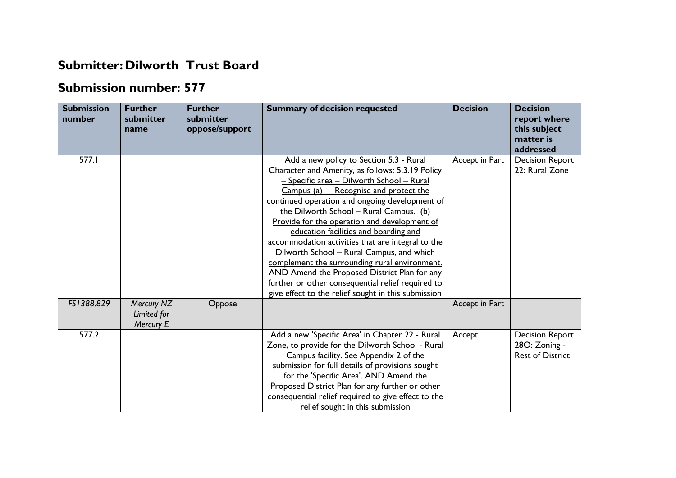## **Submitter: Dilworth Trust Board**

## **Submission number: 577**

| <b>Submission</b><br>number | <b>Further</b><br>submitter<br>name    | <b>Further</b><br>submitter<br>oppose/support | <b>Summary of decision requested</b>                                                                                                                                                                                                                                                                                                                                                                                                                                                                                                                                                                                                                                                  | <b>Decision</b> | <b>Decision</b><br>report where<br>this subject<br>matter is<br>addressed |
|-----------------------------|----------------------------------------|-----------------------------------------------|---------------------------------------------------------------------------------------------------------------------------------------------------------------------------------------------------------------------------------------------------------------------------------------------------------------------------------------------------------------------------------------------------------------------------------------------------------------------------------------------------------------------------------------------------------------------------------------------------------------------------------------------------------------------------------------|-----------------|---------------------------------------------------------------------------|
| 577.1                       |                                        |                                               | Add a new policy to Section 5.3 - Rural<br>Character and Amenity, as follows: 5.3.19 Policy<br>- Specific area - Dilworth School - Rural<br>Campus (a) Recognise and protect the<br>continued operation and ongoing development of<br>the Dilworth School - Rural Campus. (b)<br>Provide for the operation and development of<br>education facilities and boarding and<br>accommodation activities that are integral to the<br>Dilworth School - Rural Campus, and which<br>complement the surrounding rural environment.<br>AND Amend the Proposed District Plan for any<br>further or other consequential relief required to<br>give effect to the relief sought in this submission | Accept in Part  | <b>Decision Report</b><br>22: Rural Zone                                  |
| FS1388.829                  | Mercury NZ<br>Limited for<br>Mercury E | Oppose                                        |                                                                                                                                                                                                                                                                                                                                                                                                                                                                                                                                                                                                                                                                                       | Accept in Part  |                                                                           |
| 577.2                       |                                        |                                               | Add a new 'Specific Area' in Chapter 22 - Rural<br>Zone, to provide for the Dilworth School - Rural<br>Campus facility. See Appendix 2 of the<br>submission for full details of provisions sought<br>for the 'Specific Area'. AND Amend the<br>Proposed District Plan for any further or other<br>consequential relief required to give effect to the<br>relief sought in this submission                                                                                                                                                                                                                                                                                             | Accept          | <b>Decision Report</b><br>28O: Zoning -<br><b>Rest of District</b>        |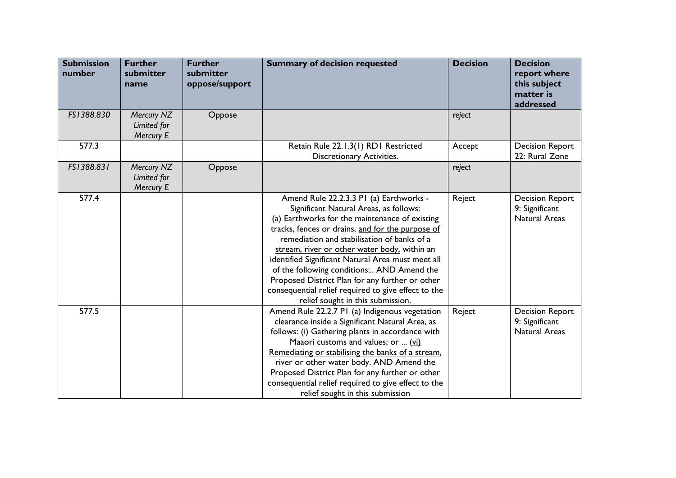| <b>Submission</b><br>number | <b>Further</b><br>submitter<br>name    | <b>Further</b><br>submitter<br>oppose/support | <b>Summary of decision requested</b>                                                                                                                                                                                                                                                                                                                                                                                                                                                                                                     | <b>Decision</b> | <b>Decision</b><br>report where<br>this subject<br>matter is<br>addressed |
|-----------------------------|----------------------------------------|-----------------------------------------------|------------------------------------------------------------------------------------------------------------------------------------------------------------------------------------------------------------------------------------------------------------------------------------------------------------------------------------------------------------------------------------------------------------------------------------------------------------------------------------------------------------------------------------------|-----------------|---------------------------------------------------------------------------|
| FS1388.830                  | Mercury NZ<br>Limited for<br>Mercury E | Oppose                                        |                                                                                                                                                                                                                                                                                                                                                                                                                                                                                                                                          | reject          |                                                                           |
| 577.3                       |                                        |                                               | Retain Rule 22.1.3(1) RD1 Restricted<br><b>Discretionary Activities.</b>                                                                                                                                                                                                                                                                                                                                                                                                                                                                 | Accept          | <b>Decision Report</b><br>22: Rural Zone                                  |
| FS1388.831                  | Mercury NZ<br>Limited for<br>Mercury E | Oppose                                        |                                                                                                                                                                                                                                                                                                                                                                                                                                                                                                                                          | reject          |                                                                           |
| 577.4                       |                                        |                                               | Amend Rule 22.2.3.3 PI (a) Earthworks -<br>Significant Natural Areas, as follows:<br>(a) Earthworks for the maintenance of existing<br>tracks, fences or drains, and for the purpose of<br>remediation and stabilisation of banks of a<br>stream, river or other water body, within an<br>identified Significant Natural Area must meet all<br>of the following conditions: AND Amend the<br>Proposed District Plan for any further or other<br>consequential relief required to give effect to the<br>relief sought in this submission. | Reject          | <b>Decision Report</b><br>9: Significant<br><b>Natural Areas</b>          |
| 577.5                       |                                        |                                               | Amend Rule 22.2.7 PI (a) Indigenous vegetation<br>clearance inside a Significant Natural Area, as<br>follows: (i) Gathering plants in accordance with<br>Maaori customs and values; or  (vi)<br>Remediating or stabilising the banks of a stream.<br>river or other water body. AND Amend the<br>Proposed District Plan for any further or other<br>consequential relief required to give effect to the<br>relief sought in this submission                                                                                              | Reject          | <b>Decision Report</b><br>9: Significant<br><b>Natural Areas</b>          |